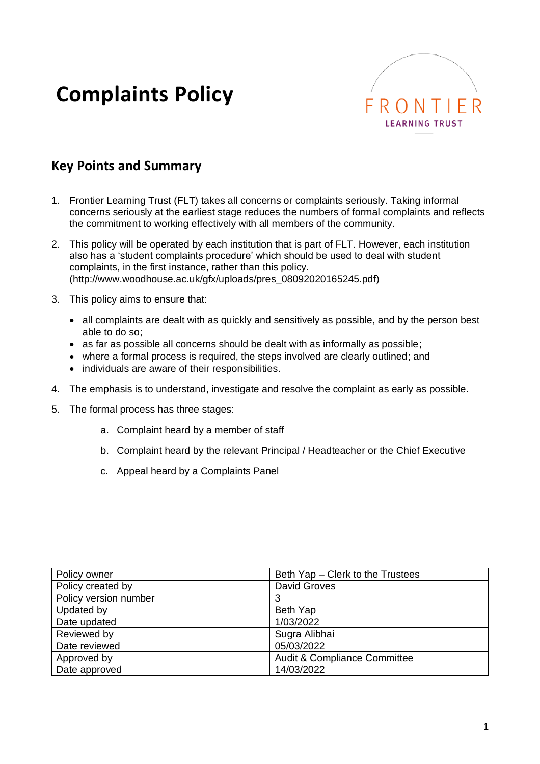# **Complaints Policy**



## **Key Points and Summary**

- 1. Frontier Learning Trust (FLT) takes all concerns or complaints seriously. Taking informal concerns seriously at the earliest stage reduces the numbers of formal complaints and reflects the commitment to working effectively with all members of the community.
- 2. This policy will be operated by each institution that is part of FLT. However, each institution also has a 'student complaints procedure' which should be used to deal with student complaints, in the first instance, rather than this policy. (http://www.woodhouse.ac.uk/gfx/uploads/pres\_08092020165245.pdf)
- 3. This policy aims to ensure that:
	- all complaints are dealt with as quickly and sensitively as possible, and by the person best able to do so;
	- as far as possible all concerns should be dealt with as informally as possible;
	- where a formal process is required, the steps involved are clearly outlined; and
	- individuals are aware of their responsibilities.
- 4. The emphasis is to understand, investigate and resolve the complaint as early as possible.
- 5. The formal process has three stages:
	- a. Complaint heard by a member of staff
	- b. Complaint heard by the relevant Principal / Headteacher or the Chief Executive
	- c. Appeal heard by a Complaints Panel

| Policy owner          | Beth Yap - Clerk to the Trustees        |
|-----------------------|-----------------------------------------|
| Policy created by     | <b>David Groves</b>                     |
| Policy version number | 3                                       |
| Updated by            | Beth Yap                                |
| Date updated          | 1/03/2022                               |
| Reviewed by           | Sugra Alibhai                           |
| Date reviewed         | 05/03/2022                              |
| Approved by           | <b>Audit &amp; Compliance Committee</b> |
| Date approved         | 14/03/2022                              |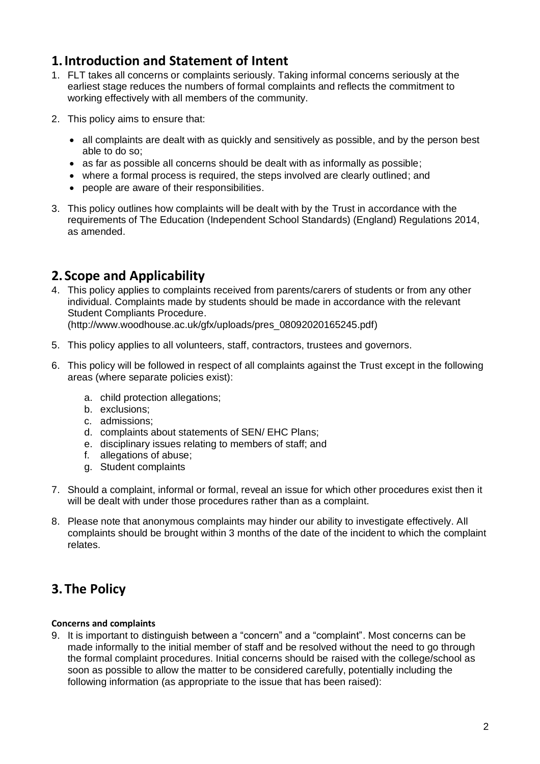## **1.Introduction and Statement of Intent**

- 1. FLT takes all concerns or complaints seriously. Taking informal concerns seriously at the earliest stage reduces the numbers of formal complaints and reflects the commitment to working effectively with all members of the community.
- 2. This policy aims to ensure that:
	- all complaints are dealt with as quickly and sensitively as possible, and by the person best able to do so;
	- as far as possible all concerns should be dealt with as informally as possible;
	- where a formal process is required, the steps involved are clearly outlined; and
	- people are aware of their responsibilities.
- 3. This policy outlines how complaints will be dealt with by the Trust in accordance with the requirements of The Education (Independent School Standards) (England) Regulations 2014, as amended.

# **2. Scope and Applicability**

4. This policy applies to complaints received from parents/carers of students or from any other individual. Complaints made by students should be made in accordance with the relevant Student Compliants Procedure.

(http://www.woodhouse.ac.uk/gfx/uploads/pres\_08092020165245.pdf)

- 5. This policy applies to all volunteers, staff, contractors, trustees and governors.
- 6. This policy will be followed in respect of all complaints against the Trust except in the following areas (where separate policies exist):
	- a. child protection allegations;
	- b. exclusions;
	- c. admissions;
	- d. complaints about statements of SEN/ EHC Plans;
	- e. disciplinary issues relating to members of staff; and
	- f. allegations of abuse;
	- g. Student complaints
- 7. Should a complaint, informal or formal, reveal an issue for which other procedures exist then it will be dealt with under those procedures rather than as a complaint.
- 8. Please note that anonymous complaints may hinder our ability to investigate effectively. All complaints should be brought within 3 months of the date of the incident to which the complaint relates.

# **3.The Policy**

#### **Concerns and complaints**

9. It is important to distinguish between a "concern" and a "complaint". Most concerns can be made informally to the initial member of staff and be resolved without the need to go through the formal complaint procedures. Initial concerns should be raised with the college/school as soon as possible to allow the matter to be considered carefully, potentially including the following information (as appropriate to the issue that has been raised):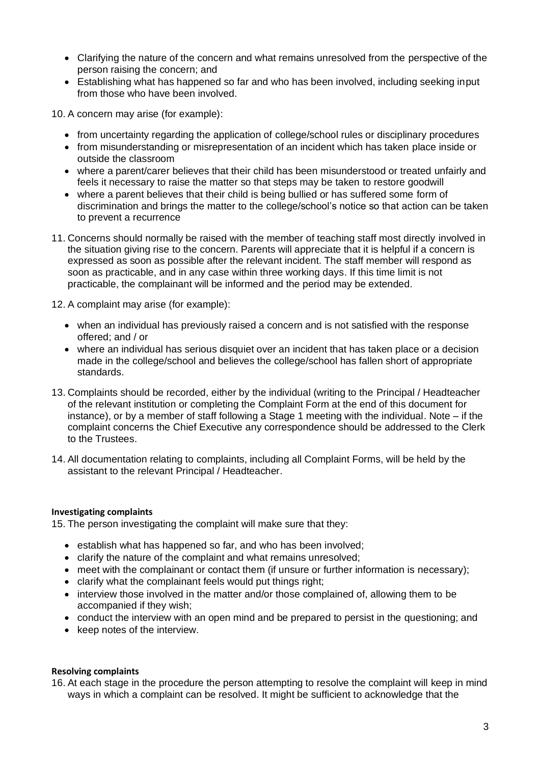- Clarifying the nature of the concern and what remains unresolved from the perspective of the person raising the concern; and
- Establishing what has happened so far and who has been involved, including seeking input from those who have been involved.

10. A concern may arise (for example):

- from uncertainty regarding the application of college/school rules or disciplinary procedures
- from misunderstanding or misrepresentation of an incident which has taken place inside or outside the classroom
- where a parent/carer believes that their child has been misunderstood or treated unfairly and feels it necessary to raise the matter so that steps may be taken to restore goodwill
- where a parent believes that their child is being bullied or has suffered some form of discrimination and brings the matter to the college/school's notice so that action can be taken to prevent a recurrence
- 11. Concerns should normally be raised with the member of teaching staff most directly involved in the situation giving rise to the concern. Parents will appreciate that it is helpful if a concern is expressed as soon as possible after the relevant incident. The staff member will respond as soon as practicable, and in any case within three working days. If this time limit is not practicable, the complainant will be informed and the period may be extended.

12. A complaint may arise (for example):

- when an individual has previously raised a concern and is not satisfied with the response offered; and / or
- where an individual has serious disquiet over an incident that has taken place or a decision made in the college/school and believes the college/school has fallen short of appropriate standards.
- 13. Complaints should be recorded, either by the individual (writing to the Principal / Headteacher of the relevant institution or completing the Complaint Form at the end of this document for instance), or by a member of staff following a Stage 1 meeting with the individual. Note – if the complaint concerns the Chief Executive any correspondence should be addressed to the Clerk to the Trustees.
- 14. All documentation relating to complaints, including all Complaint Forms, will be held by the assistant to the relevant Principal / Headteacher.

#### **Investigating complaints**

15. The person investigating the complaint will make sure that they:

- establish what has happened so far, and who has been involved:
- clarify the nature of the complaint and what remains unresolved;
- meet with the complainant or contact them (if unsure or further information is necessary);
- clarify what the complainant feels would put things right;
- interview those involved in the matter and/or those complained of, allowing them to be accompanied if they wish;
- conduct the interview with an open mind and be prepared to persist in the questioning; and
- keep notes of the interview.

#### **Resolving complaints**

16. At each stage in the procedure the person attempting to resolve the complaint will keep in mind ways in which a complaint can be resolved. It might be sufficient to acknowledge that the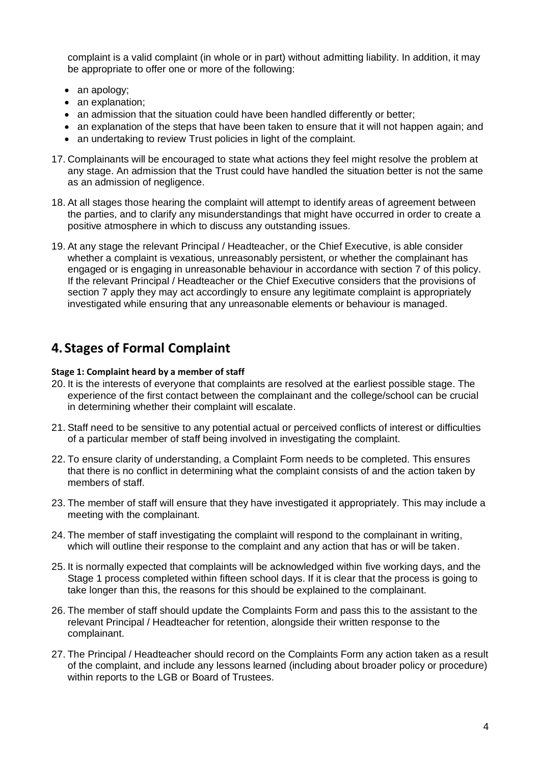complaint is a valid complaint (in whole or in part) without admitting liability. In addition, it may be appropriate to offer one or more of the following:

- an apology;
- an explanation;
- an admission that the situation could have been handled differently or better;
- an explanation of the steps that have been taken to ensure that it will not happen again; and
- an undertaking to review Trust policies in light of the complaint.
- 17. Complainants will be encouraged to state what actions they feel might resolve the problem at any stage. An admission that the Trust could have handled the situation better is not the same as an admission of negligence.
- 18. At all stages those hearing the complaint will attempt to identify areas of agreement between the parties, and to clarify any misunderstandings that might have occurred in order to create a positive atmosphere in which to discuss any outstanding issues.
- 19. At any stage the relevant Principal / Headteacher, or the Chief Executive, is able consider whether a complaint is vexatious, unreasonably persistent, or whether the complainant has engaged or is engaging in unreasonable behaviour in accordance with section 7 of this policy. If the relevant Principal / Headteacher or the Chief Executive considers that the provisions of section 7 apply they may act accordingly to ensure any legitimate complaint is appropriately investigated while ensuring that any unreasonable elements or behaviour is managed.

## **4. Stages of Formal Complaint**

#### **Stage 1: Complaint heard by a member of staff**

- 20. It is the interests of everyone that complaints are resolved at the earliest possible stage. The experience of the first contact between the complainant and the college/school can be crucial in determining whether their complaint will escalate.
- 21. Staff need to be sensitive to any potential actual or perceived conflicts of interest or difficulties of a particular member of staff being involved in investigating the complaint.
- 22. To ensure clarity of understanding, a Complaint Form needs to be completed. This ensures that there is no conflict in determining what the complaint consists of and the action taken by members of staff.
- 23. The member of staff will ensure that they have investigated it appropriately. This may include a meeting with the complainant.
- 24. The member of staff investigating the complaint will respond to the complainant in writing, which will outline their response to the complaint and any action that has or will be taken.
- 25. It is normally expected that complaints will be acknowledged within five working days, and the Stage 1 process completed within fifteen school days. If it is clear that the process is going to take longer than this, the reasons for this should be explained to the complainant.
- 26. The member of staff should update the Complaints Form and pass this to the assistant to the relevant Principal / Headteacher for retention, alongside their written response to the complainant.
- 27. The Principal / Headteacher should record on the Complaints Form any action taken as a result of the complaint, and include any lessons learned (including about broader policy or procedure) within reports to the LGB or Board of Trustees.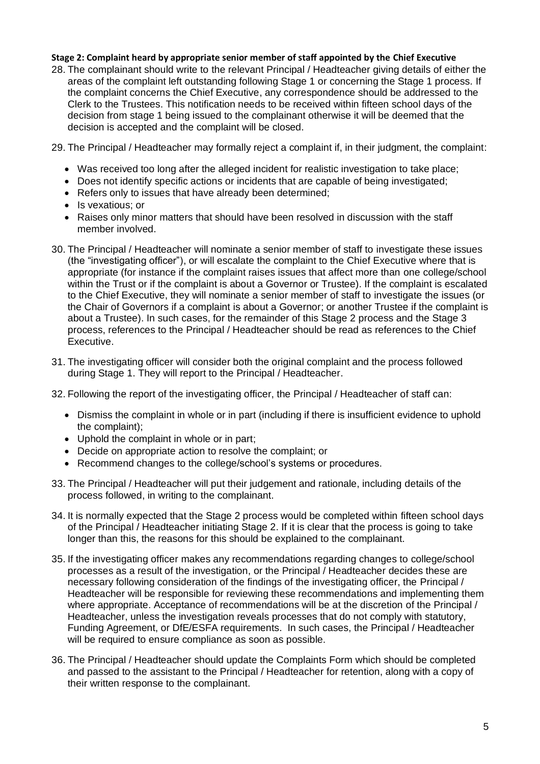#### **Stage 2: Complaint heard by appropriate senior member of staff appointed by the Chief Executive**

28. The complainant should write to the relevant Principal / Headteacher giving details of either the areas of the complaint left outstanding following Stage 1 or concerning the Stage 1 process. If the complaint concerns the Chief Executive, any correspondence should be addressed to the Clerk to the Trustees. This notification needs to be received within fifteen school days of the decision from stage 1 being issued to the complainant otherwise it will be deemed that the decision is accepted and the complaint will be closed.

29. The Principal / Headteacher may formally reject a complaint if, in their judgment, the complaint:

- Was received too long after the alleged incident for realistic investigation to take place;
- Does not identify specific actions or incidents that are capable of being investigated;
- Refers only to issues that have already been determined;
- Is vexatious; or
- Raises only minor matters that should have been resolved in discussion with the staff member involved.
- 30. The Principal / Headteacher will nominate a senior member of staff to investigate these issues (the "investigating officer"), or will escalate the complaint to the Chief Executive where that is appropriate (for instance if the complaint raises issues that affect more than one college/school within the Trust or if the complaint is about a Governor or Trustee). If the complaint is escalated to the Chief Executive, they will nominate a senior member of staff to investigate the issues (or the Chair of Governors if a complaint is about a Governor; or another Trustee if the complaint is about a Trustee). In such cases, for the remainder of this Stage 2 process and the Stage 3 process, references to the Principal / Headteacher should be read as references to the Chief Executive.
- 31. The investigating officer will consider both the original complaint and the process followed during Stage 1. They will report to the Principal / Headteacher.
- 32. Following the report of the investigating officer, the Principal / Headteacher of staff can:
	- Dismiss the complaint in whole or in part (including if there is insufficient evidence to uphold the complaint);
	- Uphold the complaint in whole or in part;
	- Decide on appropriate action to resolve the complaint; or
	- Recommend changes to the college/school's systems or procedures.
- 33. The Principal / Headteacher will put their judgement and rationale, including details of the process followed, in writing to the complainant.
- 34. It is normally expected that the Stage 2 process would be completed within fifteen school days of the Principal / Headteacher initiating Stage 2. If it is clear that the process is going to take longer than this, the reasons for this should be explained to the complainant.
- 35. If the investigating officer makes any recommendations regarding changes to college/school processes as a result of the investigation, or the Principal / Headteacher decides these are necessary following consideration of the findings of the investigating officer, the Principal / Headteacher will be responsible for reviewing these recommendations and implementing them where appropriate. Acceptance of recommendations will be at the discretion of the Principal / Headteacher, unless the investigation reveals processes that do not comply with statutory, Funding Agreement, or DfE/ESFA requirements. In such cases, the Principal / Headteacher will be required to ensure compliance as soon as possible.
- 36. The Principal / Headteacher should update the Complaints Form which should be completed and passed to the assistant to the Principal / Headteacher for retention, along with a copy of their written response to the complainant.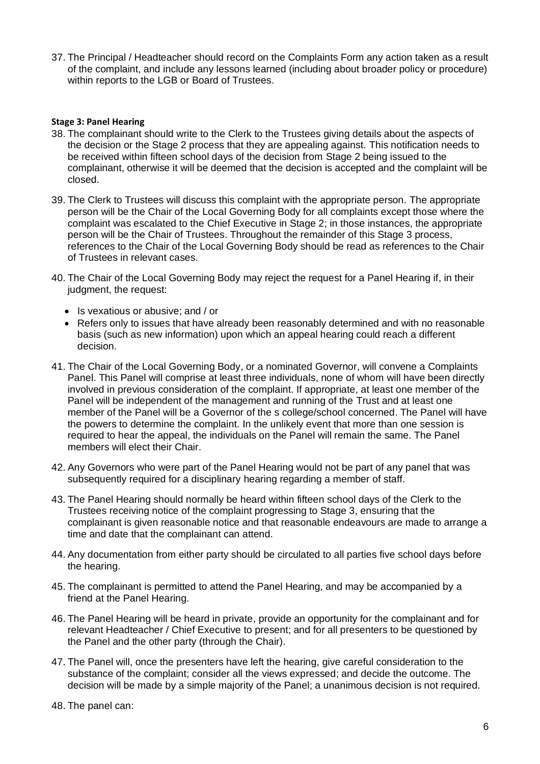37. The Principal / Headteacher should record on the Complaints Form any action taken as a result of the complaint, and include any lessons learned (including about broader policy or procedure) within reports to the LGB or Board of Trustees.

#### **Stage 3: Panel Hearing**

- 38. The complainant should write to the Clerk to the Trustees giving details about the aspects of the decision or the Stage 2 process that they are appealing against. This notification needs to be received within fifteen school days of the decision from Stage 2 being issued to the complainant, otherwise it will be deemed that the decision is accepted and the complaint will be closed.
- 39. The Clerk to Trustees will discuss this complaint with the appropriate person. The appropriate person will be the Chair of the Local Governing Body for all complaints except those where the complaint was escalated to the Chief Executive in Stage 2; in those instances, the appropriate person will be the Chair of Trustees. Throughout the remainder of this Stage 3 process, references to the Chair of the Local Governing Body should be read as references to the Chair of Trustees in relevant cases.
- 40. The Chair of the Local Governing Body may reject the request for a Panel Hearing if, in their judgment, the request:
	- Is vexatious or abusive; and / or
	- Refers only to issues that have already been reasonably determined and with no reasonable basis (such as new information) upon which an appeal hearing could reach a different decision.
- 41. The Chair of the Local Governing Body, or a nominated Governor, will convene a Complaints Panel. This Panel will comprise at least three individuals, none of whom will have been directly involved in previous consideration of the complaint. If appropriate, at least one member of the Panel will be independent of the management and running of the Trust and at least one member of the Panel will be a Governor of the s college/school concerned. The Panel will have the powers to determine the complaint. In the unlikely event that more than one session is required to hear the appeal, the individuals on the Panel will remain the same. The Panel members will elect their Chair.
- 42. Any Governors who were part of the Panel Hearing would not be part of any panel that was subsequently required for a disciplinary hearing regarding a member of staff.
- 43. The Panel Hearing should normally be heard within fifteen school days of the Clerk to the Trustees receiving notice of the complaint progressing to Stage 3, ensuring that the complainant is given reasonable notice and that reasonable endeavours are made to arrange a time and date that the complainant can attend.
- 44. Any documentation from either party should be circulated to all parties five school days before the hearing.
- 45. The complainant is permitted to attend the Panel Hearing, and may be accompanied by a friend at the Panel Hearing.
- 46. The Panel Hearing will be heard in private, provide an opportunity for the complainant and for relevant Headteacher / Chief Executive to present; and for all presenters to be questioned by the Panel and the other party (through the Chair).
- 47. The Panel will, once the presenters have left the hearing, give careful consideration to the substance of the complaint; consider all the views expressed; and decide the outcome. The decision will be made by a simple majority of the Panel; a unanimous decision is not required.
- 48. The panel can: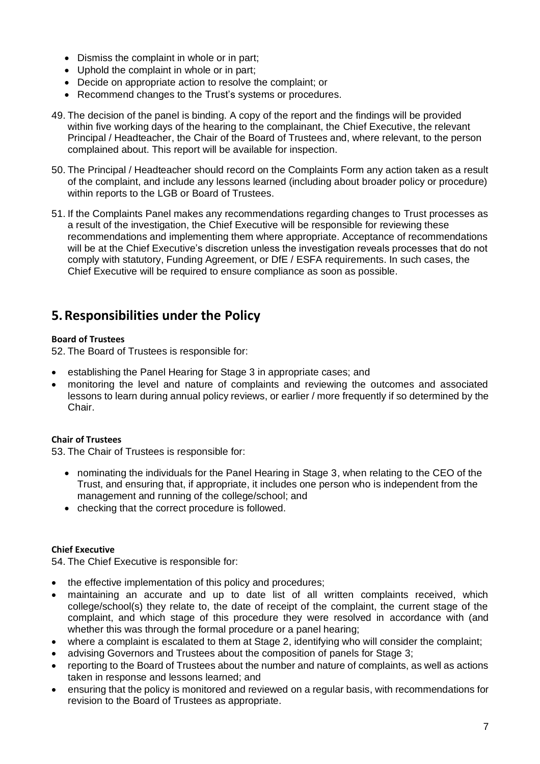- Dismiss the complaint in whole or in part;
- Uphold the complaint in whole or in part;
- Decide on appropriate action to resolve the complaint; or
- Recommend changes to the Trust's systems or procedures.
- 49. The decision of the panel is binding. A copy of the report and the findings will be provided within five working days of the hearing to the complainant, the Chief Executive, the relevant Principal / Headteacher, the Chair of the Board of Trustees and, where relevant, to the person complained about. This report will be available for inspection.
- 50. The Principal / Headteacher should record on the Complaints Form any action taken as a result of the complaint, and include any lessons learned (including about broader policy or procedure) within reports to the LGB or Board of Trustees.
- 51. If the Complaints Panel makes any recommendations regarding changes to Trust processes as a result of the investigation, the Chief Executive will be responsible for reviewing these recommendations and implementing them where appropriate. Acceptance of recommendations will be at the Chief Executive's discretion unless the investigation reveals processes that do not comply with statutory, Funding Agreement, or DfE / ESFA requirements. In such cases, the Chief Executive will be required to ensure compliance as soon as possible.

### **5.Responsibilities under the Policy**

#### **Board of Trustees**

52. The Board of Trustees is responsible for:

- establishing the Panel Hearing for Stage 3 in appropriate cases; and
- monitoring the level and nature of complaints and reviewing the outcomes and associated lessons to learn during annual policy reviews, or earlier / more frequently if so determined by the Chair.

#### **Chair of Trustees**

53. The Chair of Trustees is responsible for:

- nominating the individuals for the Panel Hearing in Stage 3, when relating to the CEO of the Trust, and ensuring that, if appropriate, it includes one person who is independent from the management and running of the college/school; and
- checking that the correct procedure is followed.

#### **Chief Executive**

54. The Chief Executive is responsible for:

- the effective implementation of this policy and procedures;
- maintaining an accurate and up to date list of all written complaints received, which college/school(s) they relate to, the date of receipt of the complaint, the current stage of the complaint, and which stage of this procedure they were resolved in accordance with (and whether this was through the formal procedure or a panel hearing;
- where a complaint is escalated to them at Stage 2, identifying who will consider the complaint;
- advising Governors and Trustees about the composition of panels for Stage 3;
- reporting to the Board of Trustees about the number and nature of complaints, as well as actions taken in response and lessons learned; and
- ensuring that the policy is monitored and reviewed on a regular basis, with recommendations for revision to the Board of Trustees as appropriate.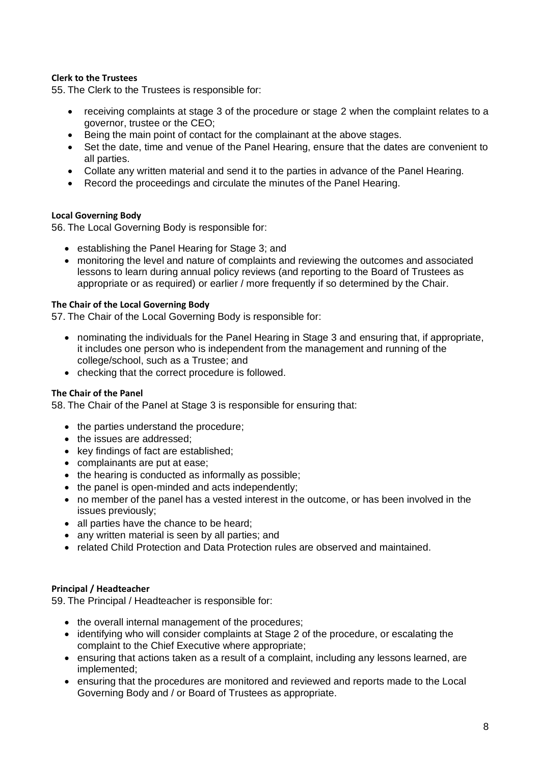#### **Clerk to the Trustees**

55. The Clerk to the Trustees is responsible for:

- receiving complaints at stage 3 of the procedure or stage 2 when the complaint relates to a governor, trustee or the CEO;
- Being the main point of contact for the complainant at the above stages.
- Set the date, time and venue of the Panel Hearing, ensure that the dates are convenient to all parties.
- Collate any written material and send it to the parties in advance of the Panel Hearing.
- Record the proceedings and circulate the minutes of the Panel Hearing.

#### **Local Governing Body**

56. The Local Governing Body is responsible for:

- establishing the Panel Hearing for Stage 3; and
- monitoring the level and nature of complaints and reviewing the outcomes and associated lessons to learn during annual policy reviews (and reporting to the Board of Trustees as appropriate or as required) or earlier / more frequently if so determined by the Chair.

#### **The Chair of the Local Governing Body**

57. The Chair of the Local Governing Body is responsible for:

- nominating the individuals for the Panel Hearing in Stage 3 and ensuring that, if appropriate, it includes one person who is independent from the management and running of the college/school, such as a Trustee; and
- checking that the correct procedure is followed.

#### **The Chair of the Panel**

58. The Chair of the Panel at Stage 3 is responsible for ensuring that:

- the parties understand the procedure;
- the issues are addressed;
- key findings of fact are established;
- complainants are put at ease;
- the hearing is conducted as informally as possible;
- the panel is open-minded and acts independently;
- no member of the panel has a vested interest in the outcome, or has been involved in the issues previously;
- all parties have the chance to be heard;
- any written material is seen by all parties; and
- related Child Protection and Data Protection rules are observed and maintained.

#### **Principal / Headteacher**

59. The Principal / Headteacher is responsible for:

- the overall internal management of the procedures;
- identifying who will consider complaints at Stage 2 of the procedure, or escalating the complaint to the Chief Executive where appropriate;
- ensuring that actions taken as a result of a complaint, including any lessons learned, are implemented;
- ensuring that the procedures are monitored and reviewed and reports made to the Local Governing Body and / or Board of Trustees as appropriate.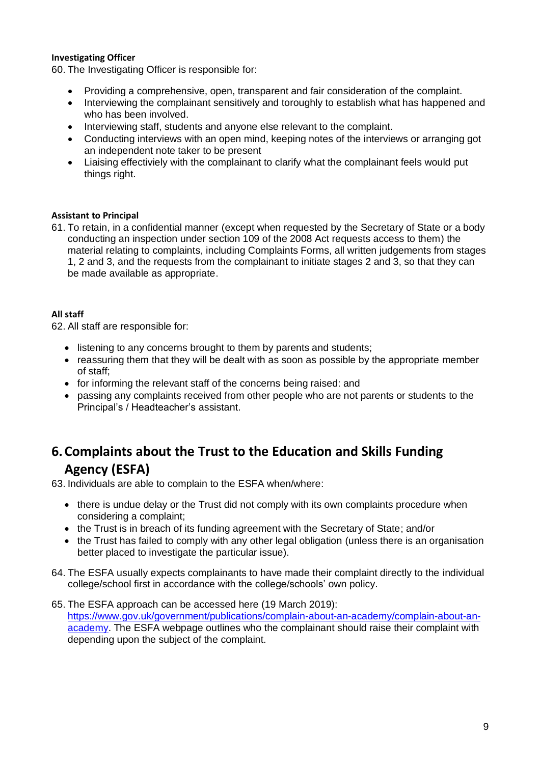#### **Investigating Officer**

60. The Investigating Officer is responsible for:

- Providing a comprehensive, open, transparent and fair consideration of the complaint.
- Interviewing the complainant sensitively and toroughly to establish what has happened and who has been involved.
- Interviewing staff, students and anyone else relevant to the complaint.
- Conducting interviews with an open mind, keeping notes of the interviews or arranging got an independent note taker to be present
- Liaising effectiviely with the complainant to clarify what the complainant feels would put things right.

#### **Assistant to Principal**

61. To retain, in a confidential manner (except when requested by the Secretary of State or a body conducting an inspection under section 109 of the 2008 Act requests access to them) the material relating to complaints, including Complaints Forms, all written judgements from stages 1, 2 and 3, and the requests from the complainant to initiate stages 2 and 3, so that they can be made available as appropriate.

#### **All staff**

62. All staff are responsible for:

- listening to any concerns brought to them by parents and students;
- reassuring them that they will be dealt with as soon as possible by the appropriate member of staff;
- for informing the relevant staff of the concerns being raised: and
- passing any complaints received from other people who are not parents or students to the Principal's / Headteacher's assistant.

# **6.Complaints about the Trust to the Education and Skills Funding Agency (ESFA)**

63. Individuals are able to complain to the ESFA when/where:

- there is undue delay or the Trust did not comply with its own complaints procedure when considering a complaint;
- the Trust is in breach of its funding agreement with the Secretary of State; and/or
- the Trust has failed to comply with any other legal obligation (unless there is an organisation better placed to investigate the particular issue).
- 64. The ESFA usually expects complainants to have made their complaint directly to the individual college/school first in accordance with the college/schools' own policy.
- 65. The ESFA approach can be accessed here (19 March 2019): [https://www.gov.uk/government/publications/complain-about-an-academy/complain-about-an](https://www.gov.uk/government/publications/complain-about-an-academy/complain-about-an-academy)[academy.](https://www.gov.uk/government/publications/complain-about-an-academy/complain-about-an-academy) The ESFA webpage outlines who the complainant should raise their complaint with depending upon the subject of the complaint.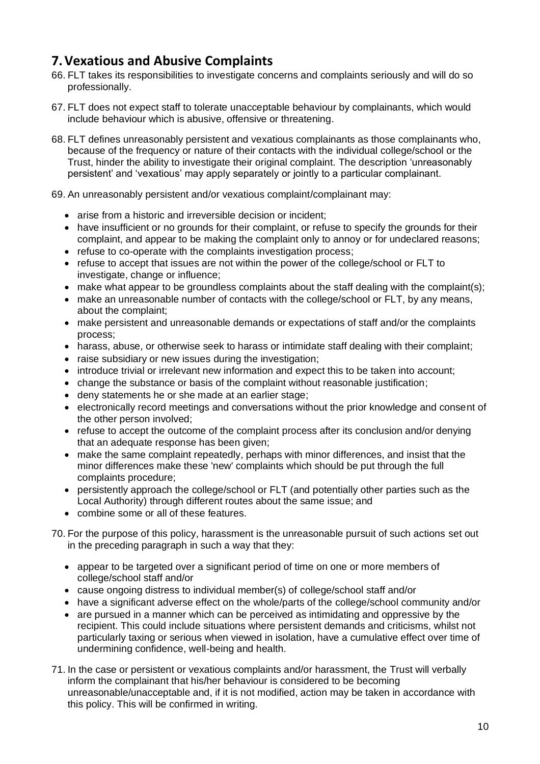## **7.Vexatious and Abusive Complaints**

- 66. FLT takes its responsibilities to investigate concerns and complaints seriously and will do so professionally.
- 67. FLT does not expect staff to tolerate unacceptable behaviour by complainants, which would include behaviour which is abusive, offensive or threatening.
- 68. FLT defines unreasonably persistent and vexatious complainants as those complainants who, because of the frequency or nature of their contacts with the individual college/school or the Trust, hinder the ability to investigate their original complaint. The description 'unreasonably persistent' and 'vexatious' may apply separately or jointly to a particular complainant.

69. An unreasonably persistent and/or vexatious complaint/complainant may:

- arise from a historic and irreversible decision or incident;
- have insufficient or no grounds for their complaint, or refuse to specify the grounds for their complaint, and appear to be making the complaint only to annoy or for undeclared reasons;
- refuse to co-operate with the complaints investigation process;
- refuse to accept that issues are not within the power of the college/school or FLT to investigate, change or influence;
- make what appear to be groundless complaints about the staff dealing with the complaint(s);
- make an unreasonable number of contacts with the college/school or FLT, by any means, about the complaint;
- make persistent and unreasonable demands or expectations of staff and/or the complaints process;
- harass, abuse, or otherwise seek to harass or intimidate staff dealing with their complaint;
- raise subsidiary or new issues during the investigation;
- introduce trivial or irrelevant new information and expect this to be taken into account;
- change the substance or basis of the complaint without reasonable justification;
- deny statements he or she made at an earlier stage;
- electronically record meetings and conversations without the prior knowledge and consent of the other person involved;
- refuse to accept the outcome of the complaint process after its conclusion and/or denying that an adequate response has been given;
- make the same complaint repeatedly, perhaps with minor differences, and insist that the minor differences make these 'new' complaints which should be put through the full complaints procedure;
- persistently approach the college/school or FLT (and potentially other parties such as the Local Authority) through different routes about the same issue; and
- combine some or all of these features.
- 70. For the purpose of this policy, harassment is the unreasonable pursuit of such actions set out in the preceding paragraph in such a way that they:
	- appear to be targeted over a significant period of time on one or more members of college/school staff and/or
	- cause ongoing distress to individual member(s) of college/school staff and/or
	- have a significant adverse effect on the whole/parts of the college/school community and/or
	- are pursued in a manner which can be perceived as intimidating and oppressive by the recipient. This could include situations where persistent demands and criticisms, whilst not particularly taxing or serious when viewed in isolation, have a cumulative effect over time of undermining confidence, well-being and health.
- 71. In the case or persistent or vexatious complaints and/or harassment, the Trust will verbally inform the complainant that his/her behaviour is considered to be becoming unreasonable/unacceptable and, if it is not modified, action may be taken in accordance with this policy. This will be confirmed in writing.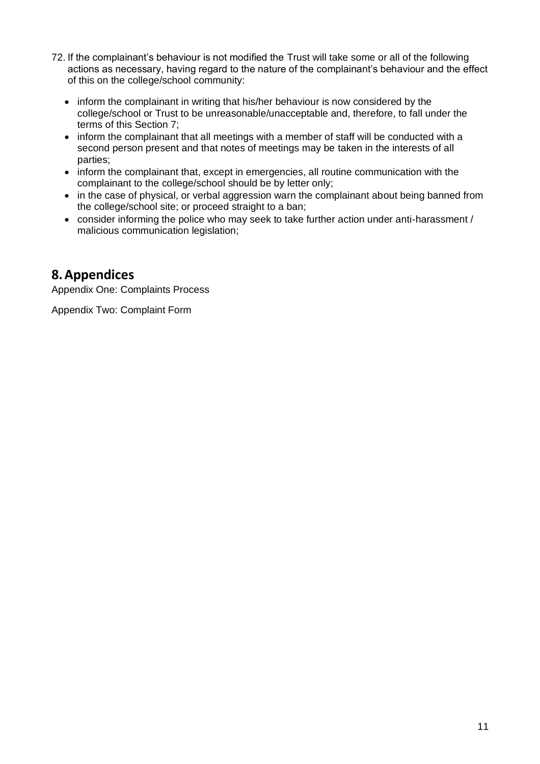- 72. If the complainant's behaviour is not modified the Trust will take some or all of the following actions as necessary, having regard to the nature of the complainant's behaviour and the effect of this on the college/school community:
	- inform the complainant in writing that his/her behaviour is now considered by the college/school or Trust to be unreasonable/unacceptable and, therefore, to fall under the terms of this Section 7;
	- inform the complainant that all meetings with a member of staff will be conducted with a second person present and that notes of meetings may be taken in the interests of all parties;
	- inform the complainant that, except in emergencies, all routine communication with the complainant to the college/school should be by letter only;
	- in the case of physical, or verbal aggression warn the complainant about being banned from the college/school site; or proceed straight to a ban;
	- consider informing the police who may seek to take further action under anti-harassment / malicious communication legislation;

### **8.Appendices**

Appendix One: Complaints Process

Appendix Two: Complaint Form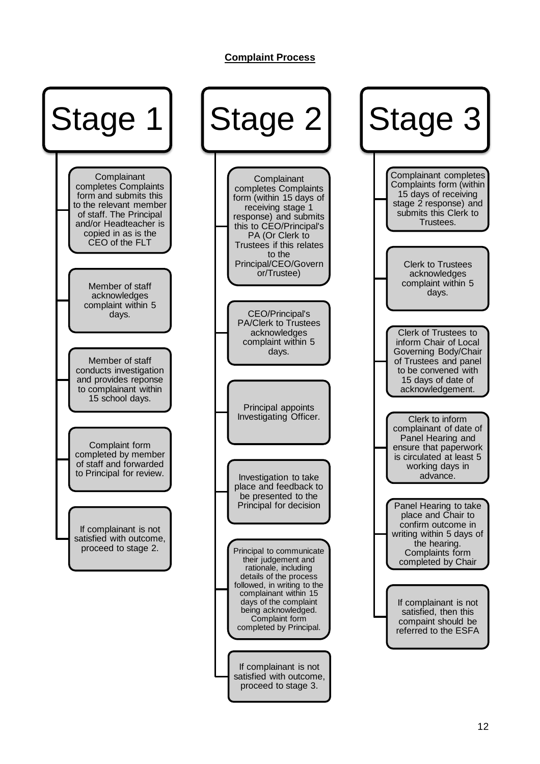#### **Complaint Process**

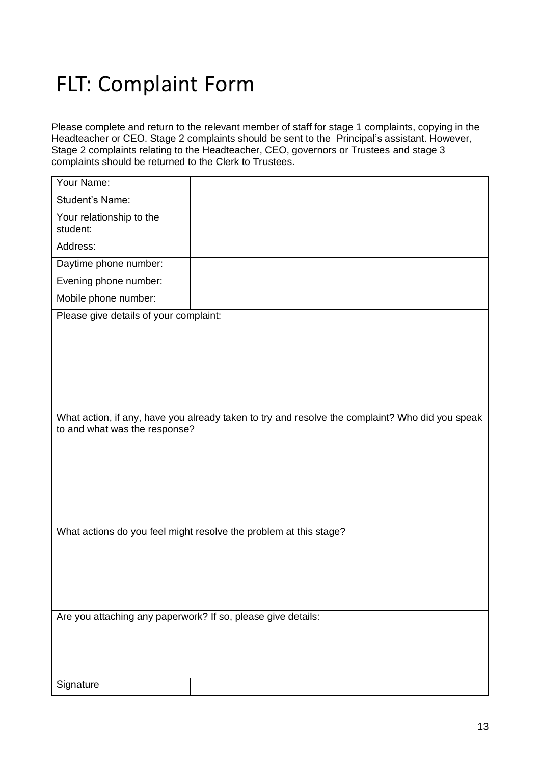# FLT: Complaint Form

Please complete and return to the relevant member of staff for stage 1 complaints, copying in the Headteacher or CEO. Stage 2 complaints should be sent to the Principal's assistant. However, Stage 2 complaints relating to the Headteacher, CEO, governors or Trustees and stage 3 complaints should be returned to the Clerk to Trustees.

| Your Name:                                                                                                                       |  |
|----------------------------------------------------------------------------------------------------------------------------------|--|
| Student's Name:                                                                                                                  |  |
| Your relationship to the<br>student:                                                                                             |  |
| Address:                                                                                                                         |  |
| Daytime phone number:                                                                                                            |  |
| Evening phone number:                                                                                                            |  |
| Mobile phone number:                                                                                                             |  |
| Please give details of your complaint:                                                                                           |  |
|                                                                                                                                  |  |
|                                                                                                                                  |  |
| What action, if any, have you already taken to try and resolve the complaint? Who did you speak<br>to and what was the response? |  |
|                                                                                                                                  |  |
| What actions do you feel might resolve the problem at this stage?                                                                |  |
|                                                                                                                                  |  |
| Are you attaching any paperwork? If so, please give details:                                                                     |  |
|                                                                                                                                  |  |
| Signature                                                                                                                        |  |